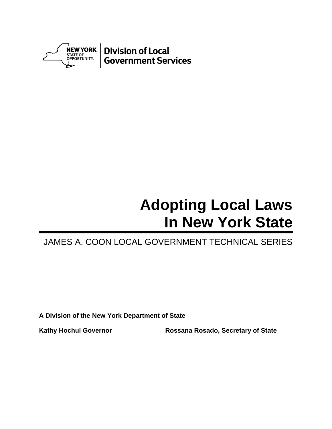

# **Adopting Local Laws In New York State**

# JAMES A. COON LOCAL GOVERNMENT TECHNICAL SERIES

**A Division of the New York Department of State**

**Kathy Hochul Governor Rossana Rosado, Secretary of State**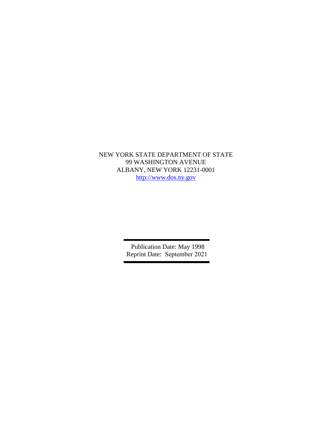NEW YORK STATE DEPARTMENT OF STATE 99 WASHINGTON AVENUE ALBANY, NEW YORK 12231-0001 [http://www.dos.ny.gov](http://www.dos.ny.gov/)

> Publication Date: May 1998 Reprint Date: September 2021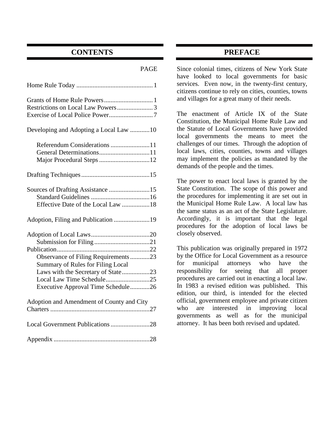# **CONTENTS**

#### PAGE

| Developing and Adopting a Local Law 10                                                                |
|-------------------------------------------------------------------------------------------------------|
| Referendum Considerations 11                                                                          |
|                                                                                                       |
| Sources of Drafting Assistance 15<br>Effective Date of the Local Law 18                               |
| Adoption, Filing and Publication 19                                                                   |
|                                                                                                       |
| Observance of Filing Requirements23<br><b>Summary of Rules for Filing Local</b>                       |
| Laws with the Secretary of State23<br>Local Law Time Schedule25<br>Executive Approval Time Schedule26 |
| Adoption and Amendment of County and City                                                             |
| Local Government Publications 28                                                                      |
|                                                                                                       |

# **PREFACE**

Since colonial times, citizens of New York State have looked to local governments for basic services. Even now, in the twenty-first century, citizens continue to rely on cities, counties, towns and villages for a great many of their needs.

The enactment of Article IX of the State Constitution, the Municipal Home Rule Law and the Statute of Local Governments have provided local governments the means to meet the challenges of our times. Through the adoption of local laws, cities, counties, towns and villages may implement the policies as mandated by the demands of the people and the times.

The power to enact local laws is granted by the State Constitution. The scope of this power and the procedures for implementing it are set out in the Municipal Home Rule Law. A local law has the same status as an act of the State Legislature. Accordingly, it is important that the legal procedures for the adoption of local laws be closely observed.

This publication was originally prepared in 1972 by the Office for Local Government as a resource for municipal attorneys who have the responsibility for seeing that all proper procedures are carried out in enacting a local law. In 1983 a revised edition was published. This edition, our third, is intended for the elected official, government employee and private citizen who are interested in improving local governments as well as for the municipal attorney. It has been both revised and updated.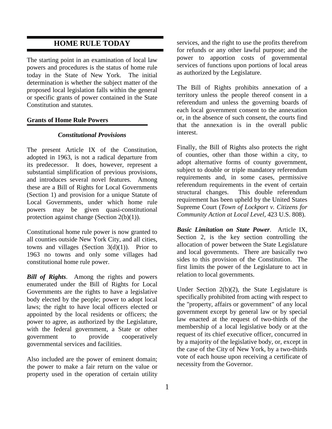## **HOME RULE TODAY**

The starting point in an examination of local law powers and procedures is the status of home rule today in the State of New York. The initial determination is whether the subject matter of the proposed local legislation falls within the general or specific grants of power contained in the State Constitution and statutes.

#### **Grants of Home Rule Powers**

#### *Constitutional Provisions*

The present Article IX of the Constitution, adopted in 1963, is not a radical departure from its predecessor. It does, however, represent a substantial simplification of previous provisions, and introduces several novel features. Among these are a Bill of Rights for Local Governments (Section 1) and provision for a unique Statute of Local Governments, under which home rule powers may be given quasi-constitutional protection against change (Section 2(b)(1)).

Constitutional home rule power is now granted to all counties outside New York City, and all cities, towns and villages (Section  $3(d)(1)$ ). Prior to 1963 no towns and only some villages had constitutional home rule power.

*Bill of Rights*. Among the rights and powers enumerated under the Bill of Rights for Local Governments are the rights to have a legislative body elected by the people; power to adopt local laws; the right to have local officers elected or appointed by the local residents or officers; the power to agree, as authorized by the Legislature, with the federal government, a State or other government to provide cooperatively governmental services and facilities.

Also included are the power of eminent domain; the power to make a fair return on the value or property used in the operation of certain utility

services, and the right to use the profits therefrom for refunds or any other lawful purpose; and the power to apportion costs of governmental services of functions upon portions of local areas as authorized by the Legislature.

The Bill of Rights prohibits annexation of a territory unless the people thereof consent in a referendum and unless the governing boards of each local government consent to the annexation or, in the absence of such consent, the courts find that the annexation is in the overall public interest.

Finally, the Bill of Rights also protects the right of counties, other than those within a city, to adopt alternative forms of county government, subject to double or triple mandatory referendum requirements and, in some cases, permissive referendum requirements in the event of certain structural changes. This double referendum requirement has been upheld by the United States Supreme Court (*Town of Lockport v. Citizens for Community Action at Local Level,* 423 U.S. 808).

*Basic Limitation on State Power*. Article IX, Section 2, is the key section controlling the allocation of power between the State Legislature and local governments. There are basically two sides to this provision of the Constitution. The first limits the power of the Legislature to act in relation to local governments.

Under Section  $2(b)(2)$ , the State Legislature is specifically prohibited from acting with respect to the "property, affairs or government" of any local government except by general law or by special law enacted at the request of two-thirds of the membership of a local legislative body or at the request of its chief executive officer, concurred in by a majority of the legislative body, or, except in the case of the City of New York, by a two-thirds vote of each house upon receiving a certificate of necessity from the Governor.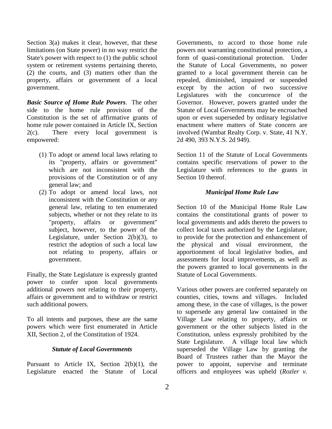Section 3(a) makes it clear, however, that these limitations (on State power) in no way restrict the State's power with respect to (1) the public school system or retirement systems pertaining thereto, (2) the courts, and (3) matters other than the property, affairs or government of a local government.

*Basic Source of Home Rule Powers*. The other side to the home rule provision of the Constitution is the set of affirmative grants of home rule power contained in Article IX, Section 2(c). There every local government is empowered:

- (1) To adopt or amend local laws relating to its "property, affairs or government" which are not inconsistent with the provisions of the Constitution or of any general law; and
- (2) To adopt or amend local laws, not inconsistent with the Constitution or any general law, relating to ten enumerated subjects, whether or not they relate to its "property, affairs or government" subject, however, to the power of the Legislature, under Section  $2(b)(3)$ , to restrict the adoption of such a local law not relating to property, affairs or government.

Finally, the State Legislature is expressly granted power to confer upon local governments additional powers not relating to their property, affairs or government and to withdraw or restrict such additional powers.

To all intents and purposes, these are the same powers which were first enumerated in Article XII, Section 2, of the Constitution of 1924.

#### *Statute of Local Governments*

Pursuant to Article IX, Section 2(b)(1), the Legislature enacted the Statute of Local

Governments, to accord to those home rule powers not warranting constitutional protection, a form of quasi-constitutional protection. Under the Statute of Local Governments, no power granted to a local government therein can be repealed, diminished, impaired or suspended except by the action of two successive Legislatures with the concurrence of the Governor. However, powers granted under the Statute of Local Governments may be encroached upon or even superseded by ordinary legislative enactment where matters of State concern are involved (Wambat Realty Corp. v. State, 41 N.Y. 2d 490, 393 N.Y.S. 2d 949).

Section 11 of the Statute of Local Governments contains specific reservations of power to the Legislature with references to the grants in Section 10 thereof.

#### *Municipal Home Rule Law*

Section 10 of the Municipal Home Rule Law contains the constitutional grants of power to local governments and adds thereto the powers to collect local taxes authorized by the Legislature, to provide for the protection and enhancement of the physical and visual environment, the apportionment of local legislative bodies, and assessments for local improvements, as well as the powers granted to local governments in the Statute of Local Governments.

Various other powers are conferred separately on counties, cities, towns and villages. Included among these, in the case of villages, is the power to supersede any general law contained in the Village Law relating to property, affairs or government or the other subjects listed in the Constitution, unless expressly prohibited by the State Legislature. A village local law which superseded the Village Law by granting the Board of Trustees rather than the Mayor the power to appoint, supervise and terminate officers and employees was upheld (*Rozler v.*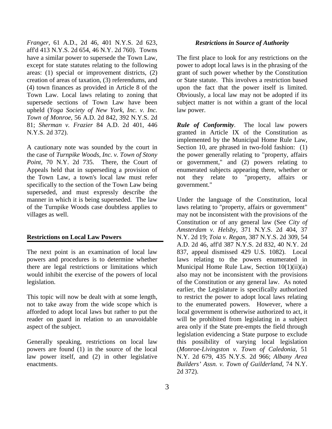*Franger*, 61 A.D., 2d 46, 401 N.Y.S. 2d 623, aff'd 413 N.Y.S. 2d 654, 46 N.Y. 2d 760). Towns have a similar power to supersede the Town Law, except for state statutes relating to the following areas: (1) special or improvement districts, (2) creation of areas of taxation, (3) referendums, and (4) town finances as provided in Article 8 of the Town Law. Local laws relating to zoning that supersede sections of Town Law have been upheld (*Yoga Society of New York, Inc. v. Inc. Town of Monroe,* 56 A.D. 2d 842, 392 N.Y.S. 2d 81; *Sherman v. Frazier* 84 A.D. 2d 401, 446 N.Y.S. 2d 372).

A cautionary note was sounded by the court in the case of *Turnpike Woods, Inc. v. Town of Stony Point,* 70 N.Y. 2d 735. There, the Court of Appeals held that in superseding a provision of the Town Law, a town's local law must refer specifically to the section of the Town Law being superseded, and must expressly describe the manner in which it is being superseded. The law of the Turnpike Woods case doubtless applies to villages as well.

#### **Restrictions on Local Law Powers**

The next point is an examination of local law powers and procedures is to determine whether there are legal restrictions or limitations which would inhibit the exercise of the powers of local legislation.

This topic will now be dealt with at some length, not to take away from the wide scope which is afforded to adopt local laws but rather to put the reader on guard in relation to an unavoidable aspect of the subject.

Generally speaking, restrictions on local law powers are found (1) in the source of the local law power itself, and (2) in other legislative enactments.

#### *Restrictions in Source of Authority*

The first place to look for any restrictions on the power to adopt local laws is in the phrasing of the grant of such power whether by the Constitution or State statute. This involves a restriction based upon the fact that the power itself is limited. Obviously, a local law may not be adopted if its subject matter is not within a grant of the local law power.

*Rule of Conformity*. The local law powers granted in Article IX of the Constitution as implemented by the Municipal Home Rule Law, Section 10, are phrased in two-fold fashion: (1) the power generally relating to "property, affairs or government," and (2) powers relating to enumerated subjects appearing there, whether or not they relate to "property, affairs or government."

Under the language of the Constitution, local laws relating to "property, affairs or government" may not be inconsistent with the provisions of the Constitution or of any general law (See *City of Amsterdam v. Helsby*, 371 N.Y.S. 2d 404, 37 N.Y. 2d 19; *Toia v. Regan*, 387 N.Y.S. 2d 309, 54 A.D. 2d 46, aff'd 387 N.Y.S. 2d 832, 40 N.Y. 2d 837, appeal dismissed 429 U.S. 1082). Local laws relating to the powers enumerated in Municipal Home Rule Law, Section  $10(1)(ii)(a)$ also may not be inconsistent with the provisions of the Constitution or any general law. As noted earlier, the Legislature is specifically authorized to restrict the power to adopt local laws relating to the enumerated powers. However, where a local government is otherwise authorized to act, it will be prohibited from legislating in a subject area only if the State pre-empts the field through legislation evidencing a State purpose to exclude this possibility of varying local legislation (*Monroe-Livingston v. Town of Caledonia*, 51 N.Y. 2d 679, 435 N.Y.S. 2d 966; *Albany Area Builders' Assn. v. Town of Guilderland*, 74 N.Y. 2d 372).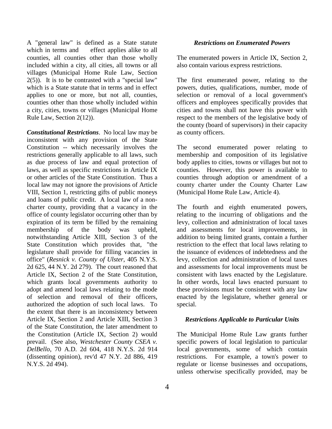A "general law" is defined as a State statute which in terms and effect applies alike to all counties, all counties other than those wholly included within a city, all cities, all towns or all villages (Municipal Home Rule Law, Section  $2(5)$ ). It is to be contrasted with a "special law" which is a State statute that in terms and in effect applies to one or more, but not all, counties, counties other than those wholly included within a city, cities, towns or villages (Municipal Home Rule Law, Section 2(12)).

*Constitutional Restrictions*. No local law may be inconsistent with any provision of the State Constitution -- which necessarily involves the restrictions generally applicable to all laws, such as due process of law and equal protection of laws, as well as specific restrictions in Article IX or other articles of the State Constitution. Thus a local law may not ignore the provisions of Article VIII, Section 1, restricting gifts of public moneys and loans of public credit. A local law of a noncharter county, providing that a vacancy in the office of county legislator occurring other than by expiration of its term be filled by the remaining membership of the body was upheld, notwithstanding Article XIII, Section 3 of the State Constitution which provides that, "the legislature shall provide for filling vacancies in office" (*Resnick v. County of Ulster*, 405 N.Y.S. 2d 625, 44 N.Y. 2d 279). The court reasoned that Article IX, Section 2 of the State Constitution, which grants local governments authority to adopt and amend local laws relating to the mode of selection and removal of their officers, authorized the adoption of such local laws. To the extent that there is an inconsistency between Article IX, Section 2 and Article XIII, Section 3 of the State Constitution, the later amendment to the Constitution (Article IX, Section 2) would prevail. (See also, *Westchester County CSEA v. DelBello*, 70 A.D. 2d 604, 418 N.Y.S. 2d 914 (dissenting opinion), rev'd 47 N.Y. 2d 886, 419 N.Y.S. 2d 494).

#### *Restrictions on Enumerated Powers*

The enumerated powers in Article IX, Section 2, also contain various express restrictions.

The first enumerated power, relating to the powers, duties, qualifications, number, mode of selection or removal of a local government's officers and employees specifically provides that cities and towns shall not have this power with respect to the members of the legislative body of the county (board of supervisors) in their capacity as county officers.

The second enumerated power relating to membership and composition of its legislative body applies to cities, towns or villages but not to counties. However, this power is available to counties through adoption or amendment of a county charter under the County Charter Law (Municipal Home Rule Law, Article 4).

The fourth and eighth enumerated powers, relating to the incurring of obligations and the levy, collection and administration of local taxes and assessments for local improvements, in addition to being limited grants, contain a further restriction to the effect that local laws relating to the issuance of evidences of indebtedness and the levy, collection and administration of local taxes and assessments for local improvements must be consistent with laws enacted by the Legislature. In other words, local laws enacted pursuant to these provisions must be consistent with any law enacted by the legislature, whether general or special.

#### *Restrictions Applicable to Particular Units*

The Municipal Home Rule Law grants further specific powers of local legislation to particular local governments, some of which contain restrictions. For example, a town's power to regulate or license businesses and occupations, unless otherwise specifically provided, may be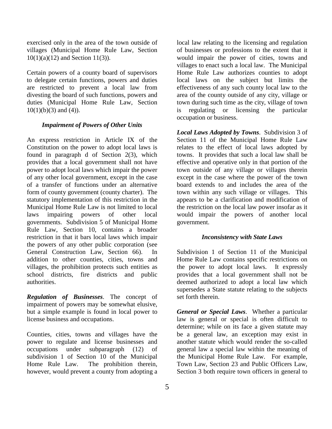exercised only in the area of the town outside of villages (Municipal Home Rule Law, Section 10(1)(a)(12) and Section 11(3)).

Certain powers of a county board of supervisors to delegate certain functions, powers and duties are restricted to prevent a local law from divesting the board of such functions, powers and duties (Municipal Home Rule Law, Section  $10(1)(b)(3)$  and  $(4)$ ).

#### *Impairment of Powers of Other Units*

An express restriction in Article IX of the Constitution on the power to adopt local laws is found in paragraph d of Section 2(3), which provides that a local government shall not have power to adopt local laws which impair the power of any other local government, except in the case of a transfer of functions under an alternative form of county government (county charter). The statutory implementation of this restriction in the Municipal Home Rule Law is not limited to local laws impairing powers of other local governments. Subdivision 5 of Municipal Home Rule Law, Section 10, contains a broader restriction in that it bars local laws which impair the powers of any other public corporation (see General Construction Law, Section 66). In addition to other counties, cities, towns and villages, the prohibition protects such entities as school districts, fire districts and public authorities.

*Regulation of Businesses*. The concept of impairment of powers may be somewhat elusive, but a simple example is found in local power to license business and occupations.

Counties, cities, towns and villages have the power to regulate and license businesses and occupations under subparagraph (12) of subdivision 1 of Section 10 of the Municipal Home Rule Law. The prohibition therein, however, would prevent a county from adopting a

local law relating to the licensing and regulation of businesses or professions to the extent that it would impair the power of cities, towns and villages to enact such a local law. The Municipal Home Rule Law authorizes counties to adopt local laws on the subject but limits the effectiveness of any such county local law to the area of the county outside of any city, village or town during such time as the city, village of town is regulating or licensing the particular occupation or business.

*Local Laws Adopted by Towns*. Subdivision 3 of Section 11 of the Municipal Home Rule Law relates to the effect of local laws adopted by towns. It provides that such a local law shall be effective and operative only in that portion of the town outside of any village or villages therein except in the case where the power of the town board extends to and includes the area of the town within any such village or villages. This appears to be a clarification and modification of the restriction on the local law power insofar as it would impair the powers of another local government.

#### *Inconsistency with State Laws*

Subdivision 1 of Section 11 of the Municipal Home Rule Law contains specific restrictions on the power to adopt local laws. It expressly provides that a local government shall not be deemed authorized to adopt a local law which supersedes a State statute relating to the subjects set forth therein.

*General or Special Laws*. Whether a particular law is general or special is often difficult to determine; while on its face a given statute may be a general law, an exception may exist in another statute which would render the so-called general law a special law within the meaning of the Municipal Home Rule Law. For example, Town Law, Section 23 and Public Officers Law, Section 3 both require town officers in general to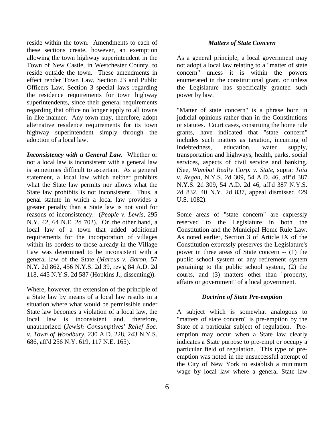reside within the town. Amendments to each of these sections create, however, an exemption allowing the town highway superintendent in the Town of New Castle, in Westchester County, to reside outside the town. These amendments in effect render Town Law, Section 23 and Public Officers Law, Section 3 special laws regarding the residence requirements for town highway superintendents, since their general requirements regarding that office no longer apply to all towns in like manner. Any town may, therefore, adopt alternative residence requirements for its town highway superintendent simply through the adoption of a local law.

*Inconsistency with a General Law.* Whether or not a local law is inconsistent with a general law is sometimes difficult to ascertain. As a general statement, a local law which neither prohibits what the State law permits nor allows what the State law prohibits is not inconsistent. Thus, a penal statute in which a local law provides a greater penalty than a State law is not void for reasons of inconsistency. (*People v. Lewis*, 295 N.Y. 42, 64 N.E. 2d 702). On the other hand, a local law of a town that added additional requirements for the incorporation of villages within its borders to those already in the Village Law was determined to be inconsistent with a general law of the State (*Marcus v. Baron*, 57 N.Y. 2d 862, 456 N.Y.S. 2d 39, rev'g 84 A.D. 2d 118, 445 N.Y.S. 2d 587 (Hopkins J., dissenting)).

Where, however, the extension of the principle of a State law by means of a local law results in a situation where what would be permissible under State law becomes a violation of a local law, the local law is inconsistent and, therefore, unauthorized (*Jewish Consumptives' Relief Soc. v. Town of Woodbury*, 230 A.D. 228, 243 N.Y.S. 686, aff'd 256 N.Y. 619, 117 N.E. 165).

#### *Matters of State Concern*

As a general principle, a local government may not adopt a local law relating to a "matter of state concern" unless it is within the powers enumerated in the constitutional grant, or unless the Legislature has specifically granted such power by law.

"Matter of state concern" is a phrase born in judicial opinions rather than in the Constitutions or statutes. Court cases, construing the home rule grants, have indicated that "state concern" includes such matters as taxation, incurring of indebtedness, education, water supply, transportation and highways, health, parks, social services, aspects of civil service and banking. (See, *Wambat Realty Corp. v. State*, supra: *Toia v. Regan*, N.Y.S. 2d 309, 54 A.D. 46, aff'd 387 N.Y.S. 2d 309, 54 A.D. 2d 46, aff'd 387 N.Y.S. 2d 832, 40 N.Y. 2d 837, appeal dismissed 429 U.S. 1082).

Some areas of "state concern" are expressly reserved to the Legislature in both the Constitution and the Municipal Home Rule Law. As noted earlier, Section 3 of Article IX of the Constitution expressly preserves the Legislature's power in three areas of State concern -- (1) the public school system or any retirement system pertaining to the public school system, (2) the courts, and (3) matters other than "property, affairs or government" of a local government.

#### *Doctrine of State Pre-emption*

A subject which is somewhat analogous to "matters of state concern" is pre-emption by the State of a particular subject of regulation. Preemption may occur when a State law clearly indicates a State purpose to pre-empt or occupy a particular field of regulation. This type of preemption was noted in the unsuccessful attempt of the City of New York to establish a minimum wage by local law where a general State law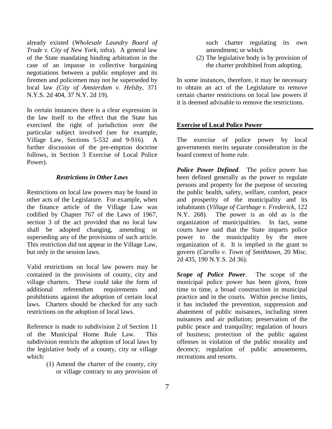already existed (*Wholesale Laundry Board of Trade v. City of New York*, infra). A general law of the State mandating binding arbitration in the case of an impasse in collective bargaining negotiations between a public employer and its firemen and policemen may not be superseded by local law *(City of Amsterdam v. Helsby,* 371 N.Y.S. 2d 404, 37 N.Y. 2d 19).

In certain instances there is a clear expression in the law itself to the effect that the State has exercised the right of jurisdiction over the particular subject involved (see for example, Village Law, Sections 5-532 and 9-916). A further discussion of the pre-emption doctrine follows, in Section 3 Exercise of Local Police Power).

#### *Restrictions in Other Laws*

Restrictions on local law powers may be found in other acts of the Legislature. For example, when the finance article of the Village Law was codified by Chapter 767 of the Laws of 1967, section 3 of the act provided that no local law shall be adopted changing, amending or superseding any of the provisions of such article. This restriction did not appear in the Village Law, but only in the session laws.

Valid restrictions on local law powers may be contained in the provisions of county, city and village charters. These could take the form of additional referendum requirements and prohibitions against the adoption of certain local laws. Charters should be checked for any such restrictions on the adoption of local laws.

Reference is made to subdivision 2 of Section 11 of the Municipal Home Rule Law. This subdivision restricts the adoption of local laws by the legislative body of a county, city or village which:

> (1) Amend the charter of the county, city or village contrary to any provision of

such charter regulating its own amendment; or which

(2) The legislative body is by provision of the charter prohibited from adopting.

In some instances, therefore, it may be necessary to obtain an act of the Legislature to remove certain charter restrictions on local law powers if it is deemed advisable to remove the restrictions.

#### **Exercise of Local Police Power**

The exercise of police power by local governments merits separate consideration in the board context of home rule.

*Police Power Defined.* The police power has been defined generally as the power to regulate persons and property for the purpose of securing the public health, safety, welfare, comfort, peace and prosperity of the municipality and its inhabitants (*Village of Carthage v. Frederick*, 122 N.Y. 268). The power is as old as is the organization of municipalities. In fact, some courts have said that the State imparts police power to the municipality by the mere organization of it. It is implied in the grant to govern (*Carollo v. Town of Smithtown*, 20 Misc. 2d 435, 190 N.Y.S. 2d 36).

*Scope of Police Power*. The scope of the municipal police power has been given, from time to time, a broad construction in municipal practice and in the courts. Within precise limits, it has included the prevention, suppression and abatement of public nuisances, including street nuisances and air pollution; preservation of the public peace and tranquility; regulation of hours of business; protection of the public against offenses in violation of the public morality and decency; regulation of public amusements, recreations and resorts.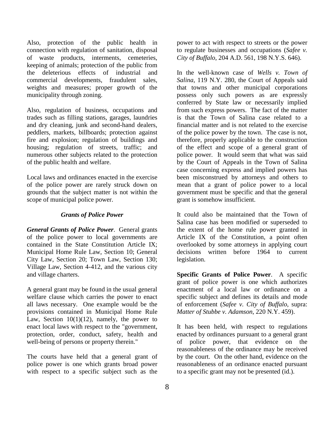Also, protection of the public health in connection with regulation of sanitation, disposal of waste products, interments, cemeteries, keeping of animals; protection of the public from the deleterious effects of industrial and commercial developments, fraudulent sales, weights and measures; proper growth of the municipality through zoning.

Also, regulation of business, occupations and trades such as filling stations, garages, laundries and dry cleaning, junk and second-hand dealers, peddlers, markets, billboards; protection against fire and explosion; regulation of buildings and housing; regulation of streets, traffic; and numerous other subjects related to the protection of the public health and welfare.

Local laws and ordinances enacted in the exercise of the police power are rarely struck down on grounds that the subject matter is not within the scope of municipal police power.

#### *Grants of Police Power*

*General Grants of Police Power*. General grants of the police power to local governments are contained in the State Constitution Article IX; Municipal Home Rule Law, Section 10; General City Law, Section 20; Town Law, Section 130; Village Law, Section 4-412, and the various city and village charters.

A general grant may be found in the usual general welfare clause which carries the power to enact all laws necessary. One example would be the provisions contained in Municipal Home Rule Law, Section  $10(1)(12)$ , namely, the power to enact local laws with respect to the "government, protection, order, conduct, safety, health and well-being of persons or property therein."

The courts have held that a general grant of police power is one which grants broad power with respect to a specific subject such as the power to act with respect to streets or the power to regulate businesses and occupations (*Safee v. City of Buffalo*, 204 A.D. 561, 198 N.Y.S. 646).

In the well-known case of *Wells v. Town of Salina*, 119 N.Y. 280, the Court of Appeals said that towns and other municipal corporations possess only such powers as are expressly conferred by State law or necessarily implied from such express powers. The fact of the matter is that the Town of Salina case related to a financial matter and is not related to the exercise of the police power by the town. The case is not, therefore, properly applicable to the construction of the effect and scope of a general grant of police power. It would seem that what was said by the Court of Appeals in the Town of Salina case concerning express and implied powers has been misconstrued by attorneys and others to mean that a grant of police power to a local government must be specific and that the general grant is somehow insufficient.

It could also be maintained that the Town of Salina case has been modified or superseded to the extent of the home rule power granted in Article IX of the Constitution, a point often overlooked by some attorneys in applying court decisions written before 1964 to current legislation.

**Specific Grants of Police Power**. A specific grant of police power is one which authorizes enactment of a local law or ordinance on a specific subject and defines its details and mode of enforcement (*Safee v. City of Buffalo*, supra: *Matter of Stubbe v. Adamson*, 220 N.Y. 459).

It has been held, with respect to regulations enacted by ordinances pursuant to a general grant of police power, that evidence on the reasonableness of the ordinance may be received by the court. On the other hand, evidence on the reasonableness of an ordinance enacted pursuant to a specific grant may not be presented (id.).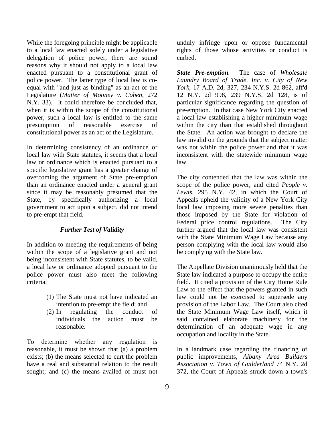While the foregoing principle might be applicable to a local law enacted solely under a legislative delegation of police power, there are sound reasons why it should not apply to a local law enacted pursuant to a constitutional grant of police power. The latter type of local law is coequal with "and just as binding" as an act of the Legislature (*Matter of Mooney v. Cohen*, 272 N.Y. 33). It could therefore be concluded that, when it is within the scope of the constitutional power, such a local law is entitled to the same presumption of reasonable exercise of constitutional power as an act of the Legislature.

In determining consistency of an ordinance or local law with State statutes, it seems that a local law or ordinance which is enacted pursuant to a specific legislative grant has a greater change of overcoming the argument of State pre-emption than an ordinance enacted under a general grant since it may be reasonably presumed that the State, by specifically authorizing a local government to act upon a subject, did not intend to pre-empt that field.

#### *Further Test of Validity*

In addition to meeting the requirements of being within the scope of a legislative grant and not being inconsistent with State statutes, to be valid, a local law or ordinance adopted pursuant to the police power must also meet the following criteria:

- (1) The State must not have indicated an intention to pre-empt the field; and
- (2) In regulating the conduct of individuals the action must be reasonable.

To determine whether any regulation is reasonable, it must be shown that (a) a problem exists; (b) the means selected to curt the problem have a real and substantial relation to the result sought; and (c) the means availed of must not unduly infringe upon or oppose fundamental rights of those whose activities or conduct is curbed.

*State Pre-emption.* The case of *Wholesale Laundry Board of Trade, Inc. v. City of New York*, 17 A.D. 2d, 327, 234 N.Y.S. 2d 862, aff'd 12 N.Y. 2d 998, 239 N.Y.S. 2d 128, is of particular significance regarding the question of pre-emption. In that case New York City enacted a local law establishing a higher minimum wage within the city than that established throughout the State. An action was brought to declare the law invalid on the grounds that the subject matter was not within the police power and that it was inconsistent with the statewide minimum wage law.

The city contended that the law was within the scope of the police power, and cited *People v. Lewis*, 295 N.Y. 42, in which the Court of Appeals upheld the validity of a New York City local law imposing more severe penalties than those imposed by the State for violation of Federal price control regulations. The City further argued that the local law was consistent with the State Minimum Wage Law because any person complying with the local law would also be complying with the State law.

The Appellate Division unanimously held that the State law indicated a purpose to occupy the entire field. It cited a provision of the City Home Rule Law to the effect that the powers granted in such law could not be exercised to supersede any provision of the Labor Law. The Court also cited the State Minimum Wage Law itself, which it said contained elaborate machinery for the determination of an adequate wage in any occupation and locality in the State.

In a landmark case regarding the financing of public improvements, *Albany Area Builders Association v. Town of Guilderland* 74 N.Y. 2d 372, the Court of Appeals struck down a town's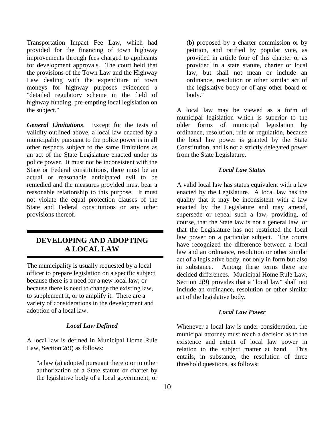Transportation Impact Fee Law, which had provided for the financing of town highway improvements through fees charged to applicants for development approvals. The court held that the provisions of the Town Law and the Highway Law dealing with the expenditure of town moneys for highway purposes evidenced a "detailed regulatory scheme in the field of highway funding, pre-empting local legislation on the subject."

*General Limitations*. Except for the tests of validity outlined above, a local law enacted by a municipality pursuant to the police power is in all other respects subject to the same limitations as an act of the State Legislature enacted under its police power. It must not be inconsistent with the State or Federal constitutions, there must be an actual or reasonable anticipated evil to be remedied and the measures provided must bear a reasonable relationship to this purpose. It must not violate the equal protection clauses of the State and Federal constitutions or any other provisions thereof.

## **DEVELOPING AND ADOPTING A LOCAL LAW**

The municipality is usually requested by a local officer to prepare legislation on a specific subject because there is a need for a new local law; or because there is need to change the existing law, to supplement it, or to amplify it. There are a variety of considerations in the development and adoption of a local law.

#### *Local Law Defined*

A local law is defined in Municipal Home Rule Law, Section 2(9) as follows:

"a law (a) adopted pursuant thereto or to other authorization of a State statute or charter by the legislative body of a local government, or

(b) proposed by a charter commission or by petition, and ratified by popular vote, as provided in article four of this chapter or as provided in a state statute, charter or local law; but shall not mean or include an ordinance, resolution or other similar act of the legislative body or of any other board or body."

A local law may be viewed as a form of municipal legislation which is superior to the older forms of municipal legislation by ordinance, resolution, rule or regulation, because the local law power is granted by the State Constitution, and is not a strictly delegated power from the State Legislature.

#### *Local Law Status*

A valid local law has status equivalent with a law enacted by the Legislature. A local law has the quality that it may be inconsistent with a law enacted by the Legislature and may amend, supersede or repeal such a law, providing, of course, that the State law is not a general law, or that the Legislature has not restricted the local law power on a particular subject. The courts have recognized the difference between a local law and an ordinance, resolution or other similar act of a legislative body, not only in form but also in substance. Among these terms there are decided differences. Municipal Home Rule Law, Section 2(9) provides that a "local law" shall not include an ordinance, resolution or other similar act of the legislative body.

#### *Local Law Power*

Whenever a local law is under consideration, the municipal attorney must reach a decision as to the existence and extent of local law power in relation to the subject matter at hand. This entails, in substance, the resolution of three threshold questions, as follows: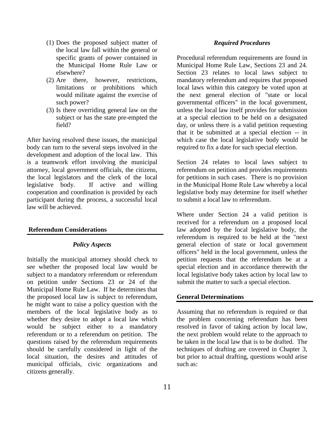- (1) Does the proposed subject matter of the local law fall within the general or specific grants of power contained in the Municipal Home Rule Law or elsewhere?
- (2) Are there, however, restrictions, limitations or prohibitions which would militate against the exercise of such power?
- (3) Is there overriding general law on the subject or has the state pre-empted the field?

After having resolved these issues, the municipal body can turn to the several steps involved in the development and adoption of the local law. This is a teamwork effort involving the municipal attorney, local government officials, the citizens, the local legislators and the clerk of the local legislative body. If active and willing cooperation and coordination is provided by each participant during the process, a successful local law will be achieved.

#### **Referendum Considerations**

#### *Policy Aspects*

Initially the municipal attorney should check to see whether the proposed local law would be subject to a mandatory referendum or referendum on petition under Sections 23 or 24 of the Municipal Home Rule Law. If he determines that the proposed local law is subject to referendum, he might want to raise a policy question with the members of the local legislative body as to whether they desire to adopt a local law which would be subject either to a mandatory referendum or to a referendum on petition. The questions raised by the referendum requirements should be carefully considered in light of the local situation, the desires and attitudes of municipal officials, civic organizations and citizens generally.

#### *Required Procedures*

Procedural referendum requirements are found in Municipal Home Rule Law, Sections 23 and 24. Section 23 relates to local laws subject to mandatory referendum and requires that proposed local laws within this category be voted upon at the next general election of "state or local governmental officers" in the local government, unless the local law itself provides for submission at a special election to be held on a designated day, or unless there is a valid petition requesting that it be submitted at a special election -- in which case the local legislative body would be required to fix a date for such special election.

Section 24 relates to local laws subject to referendum on petition and provides requirements for petitions in such cases. There is no provision in the Municipal Home Rule Law whereby a local legislative body may determine for itself whether to submit a local law to referendum.

Where under Section 24 a valid petition is received for a referendum on a proposed local law adopted by the local legislative body, the referendum is required to be held at the "next general election of state or local government officers" held in the local government, unless the petition requests that the referendum be at a special election and in accordance therewith the local legislative body takes action by local law to submit the matter to such a special election.

#### **General Determinations**

Assuming that no referendum is required or that the problem concerning referendum has been resolved in favor of taking action by local law, the next problem would relate to the approach to be taken in the local law that is to be drafted. The techniques of drafting are covered in Chapter 3, but prior to actual drafting, questions would arise such as: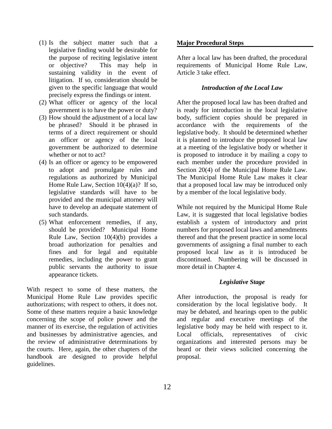- (1) Is the subject matter such that a legislative finding would be desirable for the purpose of reciting legislative intent or objective? This may help in sustaining validity in the event of litigation. If so, consideration should be given to the specific language that would precisely express the findings or intent.
- (2) What officer or agency of the local government is to have the power or duty?
- (3) How should the adjustment of a local law be phrased? Should it be phrased in terms of a direct requirement or should an officer or agency of the local government be authorized to determine whether or not to act?
- (4) Is an officer or agency to be empowered to adopt and promulgate rules and regulations as authorized by Municipal Home Rule Law, Section 10(4)(a)? If so, legislative standards will have to be provided and the municipal attorney will have to develop an adequate statement of such standards.
- (5) What enforcement remedies, if any, should be provided? Municipal Home Rule Law, Section 10(4)(b) provides a broad authorization for penalties and fines and for legal and equitable remedies, including the power to grant public servants the authority to issue appearance tickets.

With respect to some of these matters, the Municipal Home Rule Law provides specific authorizations; with respect to others, it does not. Some of these matters require a basic knowledge concerning the scope of police power and the manner of its exercise, the regulation of activities and businesses by administrative agencies, and the review of administrative determinations by the courts. Here, again, the other chapters of the handbook are designed to provide helpful guidelines.

#### **Major Procedural Steps**

After a local law has been drafted, the procedural requirements of Municipal Home Rule Law, Article 3 take effect.

#### *Introduction of the Local Law*

After the proposed local law has been drafted and is ready for introduction in the local legislative body, sufficient copies should be prepared in accordance with the requirements of the legislative body. It should be determined whether it is planned to introduce the proposed local law at a meeting of the legislative body or whether it is proposed to introduce it by mailing a copy to each member under the procedure provided in Section 20(4) of the Municipal Home Rule Law. The Municipal Home Rule Law makes it clear that a proposed local law may be introduced only by a member of the local legislative body.

While not required by the Municipal Home Rule Law, it is suggested that local legislative bodies establish a system of introductory and print numbers for proposed local laws and amendments thereof and that the present practice in some local governments of assigning a final number to each proposed local law as it is introduced be discontinued. Numbering will be discussed in more detail in Chapter 4.

#### *Legislative Stage*

After introduction, the proposal is ready for consideration by the local legislative body. It may be debated, and hearings open to the public and regular and executive meetings of the legislative body may be held with respect to it. Local officials, representatives of civic organizations and interested persons may be heard or their views solicited concerning the proposal.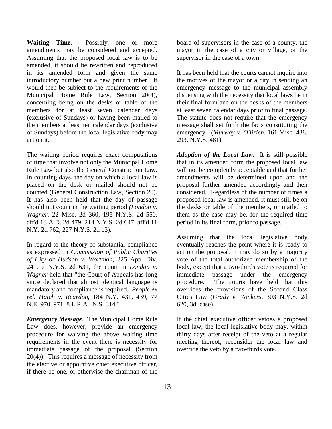**Waiting Time.** Possibly, one or more amendments may be considered and accepted. Assuming that the proposed local law is to be amended, it should be rewritten and reproduced in its amended form and given the same introductory number but a new print number. It would then be subject to the requirements of the Municipal Home Rule Law, Section 20(4), concerning being on the desks or table of the members for at least seven calendar days (exclusive of Sundays) or having been mailed to the members at least ten calendar days (exclusive of Sundays) before the local legislative body may act on it.

The waiting period requires exact computations of time that involve not only the Municipal Home Rule Law but also the General Construction Law. In counting days, the day on which a local law is placed on the desk or mailed should not be counted (General Construction Law, Section 20). It has also been held that the day of passage should not count in the waiting period *(London v. Wagner*, 22 Misc. 2d 360, 195 N.Y.S. 2d 550, aff'd 13 A.D. 2d 479, 214 N.Y.S. 2d 647, aff'd 11 N.Y. 2d 762, 227 N.Y.S. 2d 13).

In regard to the theory of substantial compliance as expressed in *Commission of Public Charities of City or Hudson v. Wortman*, 225 App. Div. 241, 7 N.Y.S. 2d 631, the court in *London v. Wagner* held that "the Court of Appeals has long since declared that almost identical language is mandatory and compliance is required. *People ex rel. Hatch v. Reardon*, 184 N.Y. 431, 439, 77 N.E. 970, 971, 8 L.R.A., N.S. 314."

*Emergency Message.* The Municipal Home Rule Law does, however, provide an emergency procedure for waiving the above waiting time requirements in the event there is necessity for immediate passage of the proposal (Section 20(4)). This requires a message of necessity from the elective or appointive chief executive officer, if there be one, or otherwise the chairman of the board of supervisors in the case of a county, the mayor in the case of a city or village, or the supervisor in the case of a town.

It has been held that the courts cannot inquire into the motives of the mayor or a city in sending an emergency message to the municipal assembly dispensing with the necessity that local laws be in their final form and on the desks of the members at least seven calendar days prior to final passage. The statute does not require that the emergency message shall set forth the facts constituting the emergency. (*Murway v. O'Brien*, 161 Misc. 438, 293, N.Y.S. 481).

*Adoption of the Local Law.* It is still possible that in its amended form the proposed local law will not be completely acceptable and that further amendments will be determined upon and the proposal further amended accordingly and then considered. Regardless of the number of times a proposed local law is amended, it must still be on the desks or table of the members, or mailed to them as the case may be, for the required time period in its final form, prior to passage.

Assuming that the local legislative body eventually reaches the point where it is ready to act on the proposal, it may do so by a majority vote of the total authorized membership of the body, except that a two-thirds vote is required for immediate passage under the emergency procedure. The courts have held that this overrides the provisions of the Second Class Cities Law (*Grady v. Yonkers*, 303 N.Y.S. 2d 620, 3d. case).

If the chief executive officer vetoes a proposed local law, the local legislative body may, within thirty days after receipt of the veto at a regular meeting thereof, reconsider the local law and override the veto by a two-thirds vote.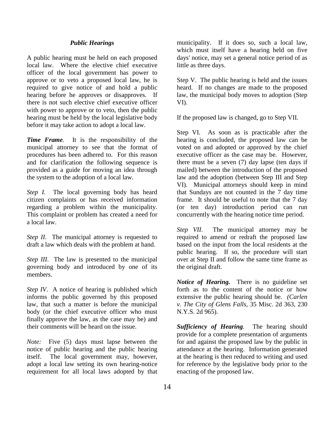#### *Public Hearings*

A public hearing must be held on each proposed local law. Where the elective chief executive officer of the local government has power to approve or to veto a proposed local law, he is required to give notice of and hold a public hearing before he approves or disapproves. If there is not such elective chief executive officer with power to approve or to veto, then the public hearing must be held by the local legislative body before it may take action to adopt a local law.

*Time Frame.* It is the responsibility of the municipal attorney to see that the format of procedures has been adhered to. For this reason and for clarification the following sequence is provided as a guide for moving an idea through the system to the adoption of a local law.

*Step I.* The local governing body has heard citizen complaints or has received information regarding a problem within the municipality. This complaint or problem has created a need for a local law.

*Step II*. The municipal attorney is requested to draft a law which deals with the problem at hand.

*Step III*. The law is presented to the municipal governing body and introduced by one of its members.

*Step IV.* A notice of hearing is published which informs the public governed by this proposed law, that such a matter is before the municipal body (or the chief executive officer who must finally approve the law, as the case may be) and their comments will be heard on the issue.

*Note:* Five (5) days must lapse between the notice of public hearing and the public hearing itself. The local government may, however, adopt a local law setting its own hearing-notice requirement for all local laws adopted by that municipality. If it does so, such a local law, which must itself have a hearing held on five days' notice, may set a general notice period of as little as three days.

Step V. The public hearing is held and the issues heard. If no changes are made to the proposed law, the municipal body moves to adoption (Step VI).

If the proposed law is changed, go to Step VII.

Step VI. As soon as is practicable after the hearing is concluded, the proposed law can be voted on and adopted or approved by the chief executive officer as the case may be. However, there must be a seven (7) day lapse (ten days if mailed) between the introduction of the proposed law and the adoption (between Step III and Step VI). Municipal attorneys should keep in mind that Sundays are not counted in the 7 day time frame. It should be useful to note that the 7 day (or ten day) introduction period can run concurrently with the hearing notice time period.

*Step VII*. The municipal attorney may be required to amend or redraft the proposed law based on the input from the local residents at the public hearing. If so, the procedure will start over at Step II and follow the same time frame as the original draft.

*Notice of Hearing.* There is no guideline set forth as to the content of the notice or how extensive the public hearing should be. *(Carlen v. The City of Glens Falls*, 35 Misc. 2d 363, 230 N.Y.S. 2d 965).

*Sufficiency of Hearing.* The hearing should provide for a complete presentation of arguments for and against the proposed law by the public in attendance at the hearing. Information generated at the hearing is then reduced to writing and used for reference by the legislative body prior to the enacting of the proposed law.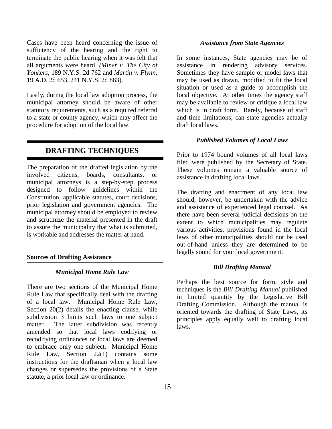Cases have been heard concerning the issue of sufficiency of the hearing and the right to terminate the public hearing when it was felt that all arguments were heard. *(Miner v. The City of Yonkers*, 189 N.Y.S. 2d 762 and *Martin v. Flynn*, 19 A.D. 2d 653, 241 N.Y.S. 2d 883).

Lastly, during the local law adoption process, the municipal attorney should be aware of other statutory requirements, such as a required referral to a state or county agency, which may affect the procedure for adoption of the local law.

### **DRAFTING TECHNIQUES**

The preparation of the drafted legislation by the involved citizens, boards, consultants, or municipal attorneys is a step-by-step process designed to follow guidelines within the Constitution, applicable statutes, court decisions, prior legislation and government agencies. The municipal attorney should be employed to review and scrutinize the material presented in the draft to assure the municipality that what is submitted, is workable and addresses the matter at hand.

#### **Sources of Drafting Assistance**

#### *Municipal Home Rule Law*

There are two sections of the Municipal Home Rule Law that specifically deal with the drafting of a local law. Municipal Home Rule Law, Section 20(2) details the enacting clause, while subdivision 3 limits such laws to one subject matter. The latter subdivision was recently amended so that local laws codifying or recodifying ordinances or local laws are deemed to embrace only one subject. Municipal Home Rule Law, Section 22(1) contains some instructions for the draftsman when a local law changes or supersedes the provisions of a State statute, a prior local law or ordinance.

#### *Assistance from State Agencies*

In some instances, State agencies may be of assistance in rendering advisory services. Sometimes they have sample or model laws that may be used as drawn, modified to fit the local situation or used as a guide to accomplish the local objective. At other times the agency staff may be available to review or critique a local law which is in draft form. Rarely, because of staff and time limitations, can state agencies actually draft local laws.

#### *Published Volumes of Local Laws*

Prior to 1974 bound volumes of all local laws filed were published by the Secretary of State. These volumes remain a valuable source of assistance in drafting local laws.

The drafting and enactment of any local law should, however, be undertaken with the advice and assistance of experienced legal counsel. As there have been several judicial decisions on the extent to which municipalities may regulate various activities, provisions found in the local laws of other municipalities should not be used out-of-hand unless they are determined to be legally sound for your local government.

#### *Bill Drafting Manual*

Perhaps the best source for form, style and techniques is the *Bill Drafting Manual* published in limited quantity by the Legislative Bill Drafting Commission. Although the manual is oriented towards the drafting of State Laws, its principles apply equally well to drafting local laws.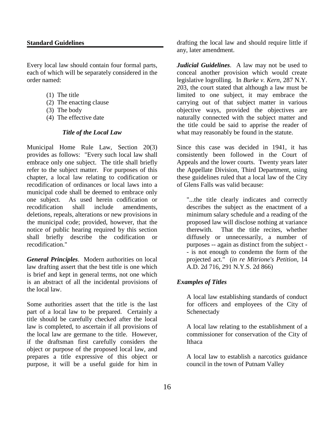#### **Standard Guidelines**

Every local law should contain four formal parts, each of which will be separately considered in the order named:

- (1) The title
- (2) The enacting clause
- (3) The body
- (4) The effective date

#### *Title of the Local Law*

Municipal Home Rule Law, Section 20(3) provides as follows: "Every such local law shall embrace only one subject. The title shall briefly refer to the subject matter. For purposes of this chapter, a local law relating to codification or recodification of ordinances or local laws into a municipal code shall be deemed to embrace only one subject. As used herein codification or recodification shall include amendments, deletions, repeals, alterations or new provisions in the municipal code; provided, however, that the notice of public hearing required by this section shall briefly describe the codification or recodification."

*General Principles*. Modern authorities on local law drafting assert that the best title is one which is brief and kept in general terms, not one which is an abstract of all the incidental provisions of the local law.

Some authorities assert that the title is the last part of a local law to be prepared. Certainly a title should be carefully checked after the local law is completed, to ascertain if all provisions of the local law are germane to the title. However, if the draftsman first carefully considers the object or purpose of the proposed local law, and prepares a title expressive of this object or purpose, it will be a useful guide for him in

drafting the local law and should require little if any, later amendment.

*Judicial Guidelines*. A law may not be used to conceal another provision which would create legislative logrolling. In *Burke v. Kern*, 287 N.Y. 203, the court stated that although a law must be limited to one subject, it may embrace the carrying out of that subject matter in various objective ways, provided the objectives are naturally connected with the subject matter and the title could be said to apprise the reader of what may reasonably be found in the statute.

Since this case was decided in 1941, it has consistently been followed in the Court of Appeals and the lower courts. Twenty years later the Appellate Division, Third Department, using these guidelines ruled that a local law of the City of Glens Falls was valid because:

"...the title clearly indicates and correctly describes the subject as the enactment of a minimum salary schedule and a reading of the proposed law will disclose nothing at variance therewith. That the title recites, whether diffusely or unnecessarily, a number of purposes -- again as distinct from the subject - - is not enough to condemn the form of the projected act." (*in re Mitrione's Petition*, 14 A.D. 2d 716, 291 N.Y.S. 2d 866)

#### *Examples of Titles*

A local law establishing standards of conduct for officers and employees of the City of Schenectady

A local law relating to the establishment of a commissioner for conservation of the City of Ithaca

A local law to establish a narcotics guidance council in the town of Putnam Valley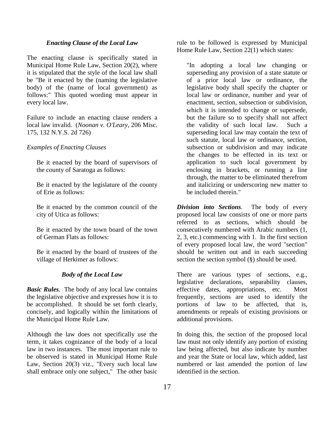#### *Enacting Clause of the Local Law*

The enacting clause is specifically stated in Municipal Home Rule Law, Section 20(2), where it is stipulated that the style of the local law shall be "Be it enacted by the (naming the legislative body) of the (name of local government) as follows:" This quoted wording must appear in every local law.

Failure to include an enacting clause renders a local law invalid. (*Noonan v. O'Leary*, 206 Misc. 175, 132 N.Y.S. 2d 726)

#### *Examples of Enacting Clauses*

Be it enacted by the board of supervisors of the county of Saratoga as follows:

Be it enacted by the legislature of the county of Erie as follows:

Be it enacted by the common council of the city of Utica as follows:

Be it enacted by the town board of the town of German Flats as follows:

Be it enacted by the board of trustees of the village of Herkimer as follows:

#### *Body of the Local Law*

*Basic Rules.* The body of any local law contains the legislative objective and expresses how it is to be accomplished. It should be set forth clearly, concisely, and logically within the limitations of the Municipal Home Rule Law.

Although the law does not specifically use the term, it takes cognizance of the body of a local law in two instances. The most important rule to be observed is stated in Municipal Home Rule Law, Section 20(3) viz., "Every such local law shall embrace only one subject," The other basic

rule to be followed is expressed by Municipal Home Rule Law, Section 22(1) which states:

"In adopting a local law changing or superseding any provision of a state statute or of a prior local law or ordinance, the legislative body shall specify the chapter or local law or ordinance, number and year of enactment, section, subsection or subdivision, which it is intended to change or supersede, but the failure so to specify shall not affect the validity of such local law. Such a superseding local law may contain the text of such statute, local law or ordinance, section, subsection or subdivision and may indicate the changes to be effected in its text or application to such local government by enclosing in brackets, or running a line through, the matter to be eliminated therefrom and italicizing or underscoring new matter to be included therein."

*Division into Sections.* The body of every proposed local law consists of one or more parts referred to as sections, which should be consecutively numbered with Arabic numbers (1, 2, 3, etc.) commencing with 1. In the first section of every proposed local law, the word "section" should be written out and in each succeeding section the section symbol (§) should be used.

There are various types of sections, e.g., legislative declarations, separability clauses, effective dates, appropriations, etc. Most frequently, sections are used to identify the portions of law to be affected, that is, amendments or repeals of existing provisions or additional provisions.

In doing this, the section of the proposed local law must not only identify any portion of existing law being affected, but also indicate by number and year the State or local law, which added, last numbered or last amended the portion of law identified in the section.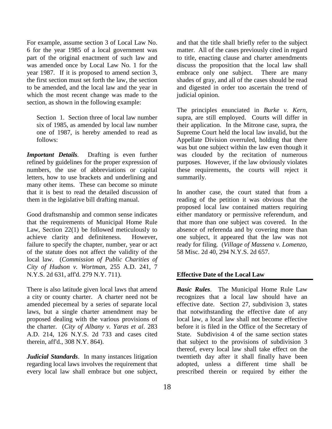For example, assume section 3 of Local Law No. 6 for the year 1985 of a local government was part of the original enactment of such law and was amended once by Local Law No. 1 for the year 1987. If it is proposed to amend section 3, the first section must set forth the law, the section to be amended, and the local law and the year in which the most recent change was made to the section, as shown in the following example:

Section 1. Section three of local law number six of 1985, as amended by local law number one of 1987, is hereby amended to read as follows:

*Important Details.* Drafting is even further refined by guidelines for the proper expression of numbers, the use of abbreviations or capital letters, how to use brackets and underlining and many other items. These can become so minute that it is best to read the detailed discussion of them in the legislative bill drafting manual.

Good draftsmanship and common sense indicates that the requirements of Municipal Home Rule Law, Section 22(1) be followed meticulously to achieve clarity and definiteness. However, failure to specify the chapter, number, year or act of the statute does not affect the validity of the local law. (*Commission of Public Charities of City of Hudson v. Wortman*, 255 A.D. 241, 7 N.Y.S. 2d 631, aff'd. 279 N.Y. 711).

There is also latitude given local laws that amend a city or county charter. A charter need not be amended piecemeal by a series of separate local laws, but a single charter amendment may be proposed dealing with the various provisions of the charter. (*City of Albany v. Yaras et al*. 283 A.D. 214, 126 N.Y.S. 2d 733 and cases cited therein, aff'd., 308 N.Y. 864).

*Judicial Standards*. In many instances litigation regarding local laws involves the requirement that every local law shall embrace but one subject,

and that the title shall briefly refer to the subject matter. All of the cases previously cited in regard to title, enacting clause and charter amendments discuss the proposition that the local law shall embrace only one subject. There are many shades of gray, and all of the cases should be read and digested in order too ascertain the trend of judicial opinion.

The principles enunciated in *Burke v. Kern*, supra, are still employed. Courts will differ in their application. In the Mitrone case, supra, the Supreme Court held the local law invalid, but the Appellate Division overruled, holding that there was but one subject within the law even though it was clouded by the recitation of numerous purposes. However, if the law obviously violates these requirements, the courts will reject it summarily.

In another case, the court stated that from a reading of the petition it was obvious that the proposed local law contained matters requiring either mandatory or permissive referendum, and that more than one subject was covered. In the absence of referenda and by covering more than one subject, it appeared that the law was not ready for filing. (*Village of Massena v. Lomenzo,* 58 Misc. 2d 40, 294 N.Y.S. 2d 657.

#### **Effective Date of the Local Law**

*Basic Rules*. The Municipal Home Rule Law recognizes that a local law should have an effective date. Section 27, subdivision 3, states that notwithstanding the effective date of any local law, a local law shall not become effective before it is filed in the Office of the Secretary of State. Subdivision 4 of the same section states that subject to the provisions of subdivision 3 thereof, every local law shall take effect on the twentieth day after it shall finally have been adopted, unless a different time shall be prescribed therein or required by either the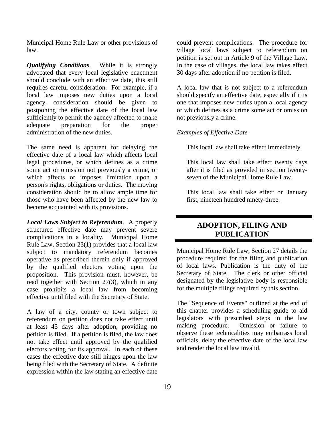Municipal Home Rule Law or other provisions of law.

*Qualifying Conditions*. While it is strongly advocated that every local legislative enactment should conclude with an effective date, this still requires careful consideration. For example, if a local law imposes new duties upon a local agency, consideration should be given to postponing the effective date of the local law sufficiently to permit the agency affected to make adequate preparation for the proper administration of the new duties.

The same need is apparent for delaying the effective date of a local law which affects local legal procedures, or which defines as a crime some act or omission not previously a crime, or which affects or imposes limitation upon a person's rights, obligations or duties. The moving consideration should be to allow ample time for those who have been affected by the new law to become acquainted with its provisions.

*Local Laws Subject to Referendum*. A properly structured effective date may prevent severe complications in a locality. Municipal Home Rule Law, Section 23(1) provides that a local law subject to mandatory referendum becomes operative as prescribed therein only if approved by the qualified electors voting upon the proposition. This provision must, however, be read together with Section 27(3), which in any case prohibits a local law from becoming effective until filed with the Secretary of State.

A law of a city, county or town subject to referendum on petition does not take effect until at least 45 days after adoption, providing no petition is filed. If a petition is filed, the law does not take effect until approved by the qualified electors voting for its approval. In each of these cases the effective date still hinges upon the law being filed with the Secretary of State. A definite expression within the law stating an effective date could prevent complications. The procedure for village local laws subject to referendum on petition is set out in Article 9 of the Village Law. In the case of villages, the local law takes effect 30 days after adoption if no petition is filed.

A local law that is not subject to a referendum should specify an effective date, especially if it is one that imposes new duties upon a local agency or which defines as a crime some act or omission not previously a crime.

#### *Examples of Effective Date*

This local law shall take effect immediately.

This local law shall take effect twenty days after it is filed as provided in section twentyseven of the Municipal Home Rule Law.

This local law shall take effect on January first, nineteen hundred ninety-three.

## **ADOPTION, FILING AND PUBLICATION**

Municipal Home Rule Law, Section 27 details the procedure required for the filing and publication of local laws. Publication is the duty of the Secretary of State. The clerk or other official designated by the legislative body is responsible for the multiple filings required by this section.

The "Sequence of Events" outlined at the end of this chapter provides a scheduling guide to aid legislators with prescribed steps in the law making procedure. Omission or failure to observe these technicalities may embarrass local officials, delay the effective date of the local law and render the local law invalid.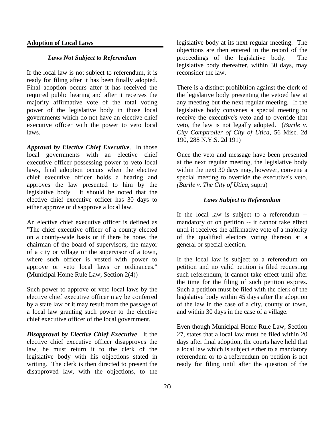#### **Adoption of Local Laws**

#### *Laws Not Subject to Referendum*

If the local law is not subject to referendum, it is ready for filing after it has been finally adopted. Final adoption occurs after it has received the required public hearing and after it receives the majority affirmative vote of the total voting power of the legislative body in those local governments which do not have an elective chief executive officer with the power to veto local laws.

*Approval by Elective Chief Executive*. In those local governments with an elective chief executive officer possessing power to veto local laws, final adoption occurs when the elective chief executive officer holds a hearing and approves the law presented to him by the legislative body. It should be noted that the elective chief executive officer has 30 days to either approve or disapprove a local law.

An elective chief executive officer is defined as "The chief executive officer of a county elected on a county-wide basis or if there be none, the chairman of the board of supervisors, the mayor of a city or village or the supervisor of a town, where such officer is vested with power to approve or veto local laws or ordinances." (Municipal Home Rule Law, Section 2(4))

Such power to approve or veto local laws by the elective chief executive officer may be conferred by a state law or it may result from the passage of a local law granting such power to the elective chief executive officer of the local government.

*Disapproval by Elective Chief Executive*. It the elective chief executive officer disapproves the law, he must return it to the clerk of the legislative body with his objections stated in writing. The clerk is then directed to present the disapproved law, with the objections, to the legislative body at its next regular meeting. The objections are then entered in the record of the proceedings of the legislative body. The legislative body thereafter, within 30 days, may reconsider the law.

There is a distinct prohibition against the clerk of the legislative body presenting the vetoed law at any meeting but the next regular meeting. If the legislative body convenes a special meeting to receive the executive's veto and to override that veto, the law is not legally adopted. (*Barile v. City Comptroller of City of Utica*, 56 Misc. 2d 190, 288 N.Y.S. 2d 191)

Once the veto and message have been presented at the next regular meeting, the legislative body within the next 30 days may, however, convene a special meeting to override the executive's veto. *(Barile v. The City of Utica*, supra)

#### *Laws Subject to Referendum*

If the local law is subject to a referendum - mandatory or on petition -- it cannot take effect until it receives the affirmative vote of a majority of the qualified electors voting thereon at a general or special election.

If the local law is subject to a referendum on petition and no valid petition is filed requesting such referendum, it cannot take effect until after the time for the filing of such petition expires. Such a petition must be filed with the clerk of the legislative body within 45 days after the adoption of the law in the case of a city, county or town, and within 30 days in the case of a village.

Even though Municipal Home Rule Law, Section 27, states that a local law must be filed within 20 days after final adoption, the courts have held that a local law which is subject either to a mandatory referendum or to a referendum on petition is not ready for filing until after the question of the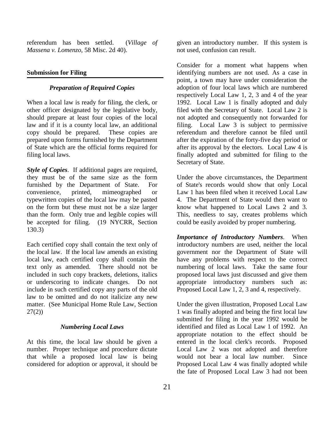referendum has been settled. (*Village of Massena v. Lomenzo*, 58 Misc. 2d 40).

#### **Submission for Filing**

#### *Preparation of Required Copies*

When a local law is ready for filing, the clerk, or other officer designated by the legislative body, should prepare at least four copies of the local law and if it is a county local law, an additional copy should be prepared. These copies are prepared upon forms furnished by the Department of State which are the official forms required for filing local laws.

*Style of Copies*. If additional pages are required, they must be of the same size as the form furnished by the Department of State. For convenience, printed, mimeographed or typewritten copies of the local law may be pasted on the form but these must not be a size larger than the form. Only true and legible copies will be accepted for filing. (19 NYCRR, Section 130.3)

Each certified copy shall contain the text only of the local law. If the local law amends an existing local law, each certified copy shall contain the text only as amended. There should not be included in such copy brackets, deletions, italics or underscoring to indicate changes. Do not include in such certified copy any parts of the old law to be omitted and do not italicize any new matter. (See Municipal Home Rule Law, Section  $27(2)$ 

#### *Numbering Local Laws*

At this time, the local law should be given a number. Proper technique and procedure dictate that while a proposed local law is being considered for adoption or approval, it should be given an introductory number. If this system is not used, confusion can result.

Consider for a moment what happens when identifying numbers are not used. As a case in point, a town may have under consideration the adoption of four local laws which are numbered respectively Local Law 1, 2, 3 and 4 of the year 1992. Local Law 1 is finally adopted and duly filed with the Secretary of State. Local Law 2 is not adopted and consequently not forwarded for filing. Local Law 3 is subject to permissive referendum and therefore cannot be filed until after the expiration of the forty-five day period or after its approval by the electors. Local Law 4 is finally adopted and submitted for filing to the Secretary of State.

Under the above circumstances, the Department of State's records would show that only Local Law 1 has been filed when it received Local Law 4. The Department of State would then want to know what happened to Local Laws 2 and 3. This, needless to say, creates problems which could be easily avoided by proper numbering.

*Importance of Introductory Numbers*. When introductory numbers are used, neither the local government nor the Department of State will have any problems with respect to the correct numbering of local laws. Take the same four proposed local laws just discussed and give them appropriate introductory numbers such as: Proposed Local Law 1, 2, 3 and 4, respectively.

Under the given illustration, Proposed Local Law 1 was finally adopted and being the first local law submitted for filing in the year 1992 would be identified and filed as Local Law 1 of 1992. An appropriate notation to the effect should be entered in the local clerk's records. Proposed Local Law 2 was not adopted and therefore would not bear a local law number. Since Proposed Local Law 4 was finally adopted while the fate of Proposed Local Law 3 had not been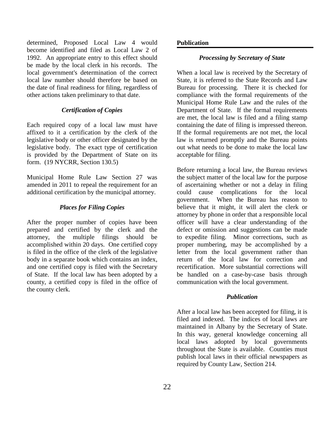determined, Proposed Local Law 4 would become identified and filed as Local Law 2 of 1992. An appropriate entry to this effect should be made by the local clerk in his records. The local government's determination of the correct local law number should therefore be based on the date of final readiness for filing, regardless of other actions taken preliminary to that date.

#### *Certification of Copies*

Each required copy of a local law must have affixed to it a certification by the clerk of the legislative body or other officer designated by the legislative body. The exact type of certification is provided by the Department of State on its form. (19 NYCRR, Section 130.5)

Municipal Home Rule Law Section 27 was amended in 2011 to repeal the requirement for an additional certification by the municipal attorney.

#### *Places for Filing Copies*

After the proper number of copies have been prepared and certified by the clerk and the attorney, the multiple filings should be accomplished within 20 days. One certified copy is filed in the office of the clerk of the legislative body in a separate book which contains an index, and one certified copy is filed with the Secretary of State. If the local law has been adopted by a county, a certified copy is filed in the office of the county clerk.

#### **Publication**

#### *Processing by Secretary of State*

When a local law is received by the Secretary of State, it is referred to the State Records and Law Bureau for processing. There it is checked for compliance with the formal requirements of the Municipal Home Rule Law and the rules of the Department of State. If the formal requirements are met, the local law is filed and a filing stamp containing the date of filing is impressed thereon. If the formal requirements are not met, the local law is returned promptly and the Bureau points out what needs to be done to make the local law acceptable for filing.

Before returning a local law, the Bureau reviews the subject matter of the local law for the purpose of ascertaining whether or not a delay in filing could cause complications for the local government. When the Bureau has reason to believe that it might, it will alert the clerk or attorney by phone in order that a responsible local officer will have a clear understanding of the defect or omission and suggestions can be made to expedite filing. Minor corrections, such as proper numbering, may be accomplished by a letter from the local government rather than return of the local law for correction and recertification. More substantial corrections will be handled on a case-by-case basis through communication with the local government.

#### *Publication*

After a local law has been accepted for filing, it is filed and indexed. The indices of local laws are maintained in Albany by the Secretary of State. In this way, general knowledge concerning all local laws adopted by local governments throughout the State is available. Counties must publish local laws in their official newspapers as required by County Law, Section 214.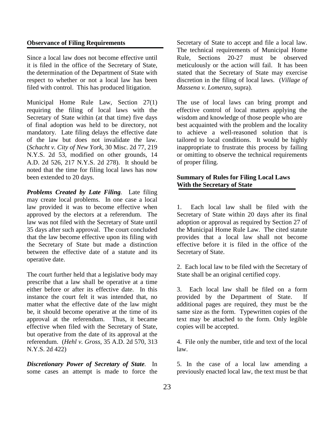#### **Observance of Filing Requirements**

Since a local law does not become effective until it is filed in the office of the Secretary of State, the determination of the Department of State with respect to whether or not a local law has been filed with control. This has produced litigation.

Municipal Home Rule Law, Section 27(1) requiring the filing of local laws with the Secretary of State within (at that time) five days of final adoption was held to be directory, not mandatory. Late filing delays the effective date of the law but does not invalidate the law. (*Schacht v. City of New York*, 30 Misc. 2d 77, 219 N.Y.S. 2d 53, modified on other grounds, 14 A.D. 2d 526, 217 N.Y.S. 2d 278). It should be noted that the time for filing local laws has now been extended to 20 days.

*Problems Created by Late Filing.* Late filing may create local problems. In one case a local law provided it was to become effective when approved by the electors at a referendum. The law was not filed with the Secretary of State until 35 days after such approval. The court concluded that the law become effective upon its filing with the Secretary of State but made a distinction between the effective date of a statute and its operative date.

The court further held that a legislative body may prescribe that a law shall be operative at a time either before or after its effective date. In this instance the court felt it was intended that, no matter what the effective date of the law might be, it should become operative at the time of its approval at the referendum. Thus, it became effective when filed with the Secretary of State, but operative from the date of its approval at the referendum. (*Hehl v. Gross*, 35 A.D. 2d 570, 313 N.Y.S. 2d 422)

*Discretionary Power of Secretary of State.* In some cases an attempt is made to force the Secretary of State to accept and file a local law. The technical requirements of Municipal Home Rule, Sections 20-27 must be observed meticulously or the action will fail. It has been stated that the Secretary of State may exercise discretion in the filing of local laws. (*Village of Massena v. Lomenzo*, supra).

The use of local laws can bring prompt and effective control of local matters applying the wisdom and knowledge of those people who are best acquainted with the problem and the locality to achieve a well-reasoned solution that is tailored to local conditions. It would be highly inappropriate to frustrate this process by failing or omitting to observe the technical requirements of proper filing.

#### **Summary of Rules for Filing Local Laws With the Secretary of State**

1. Each local law shall be filed with the Secretary of State within 20 days after its final adoption or approval as required by Section 27 of the Municipal Home Rule Law. The cited statute provides that a local law shall not become effective before it is filed in the office of the Secretary of State.

2. Each local law to be filed with the Secretary of State shall be an original certified copy.

3. Each local law shall be filed on a form provided by the Department of State. If additional pages are required, they must be the same size as the form. Typewritten copies of the text may be attached to the form. Only legible copies will be accepted.

4. File only the number, title and text of the local law.

5. In the case of a local law amending a previously enacted local law, the text must be that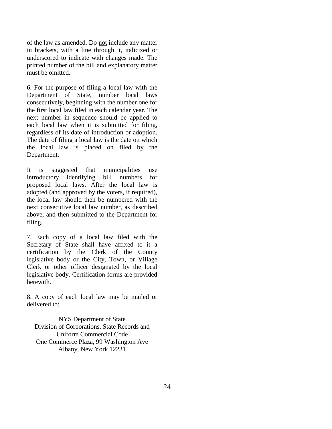of the law as amended. Do not include any matter in brackets, with a line through it, italicized or underscored to indicate with changes made. The printed number of the bill and explanatory matter must be omitted.

6. For the purpose of filing a local law with the Department of State, number local laws consecutively, beginning with the number one for the first local law filed in each calendar year. The next number in sequence should be applied to each local law when it is submitted for filing, regardless of its date of introduction or adoption. The date of filing a local law is the date on which the local law is placed on filed by the Department.

It is suggested that municipalities use introductory identifying bill numbers for proposed local laws. After the local law is adopted (and approved by the voters, if required), the local law should then be numbered with the next consecutive local law number, as described above, and then submitted to the Department for filing.

7. Each copy of a local law filed with the Secretary of State shall have affixed to it a certification by the Clerk of the County legislative body or the City, Town, or Village Clerk or other officer designated by the local legislative body. Certification forms are provided herewith.

8. A copy of each local law may be mailed or delivered to:

NYS Department of State Division of Corporations, State Records and Uniform Commercial Code One Commerce Plaza, 99 Washington Ave Albany, New York 12231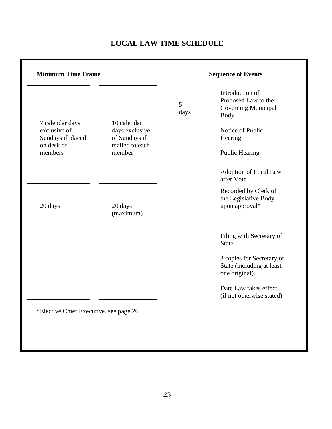#### **Minimum Time Frame Sequence of Events** 7 calendar days exclusive of Sundays if placed on desk of members 10 calendar days exclusive of Sundays if mailed to each member Introduction of Proposed Law to the Governing Municipal Body Notice of Public Hearing Public Hearing 5 days Adoption of Local Law after Vote 20 days 20 days (maximum) Recorded by Clerk of the Legislative Body upon approval\* Filing with Secretary of State 3 copies for Secretary of State (including at least one original). Date Law takes effect (if not otherwise stated)

# **LOCAL LAW TIME SCHEDULE**

\*Elective Chief Executive, see page 26.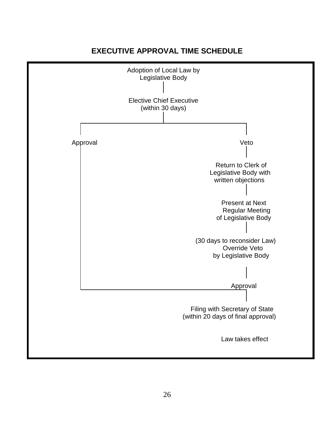# **EXECUTIVE APPROVAL TIME SCHEDULE**

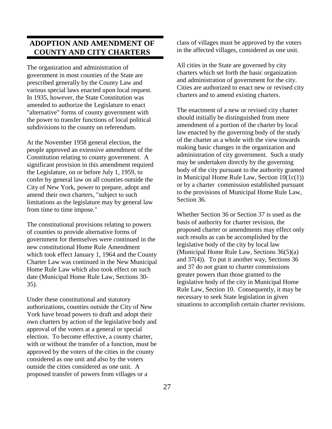# **ADOPTION AND AMENDMENT OF COUNTY AND CITY CHARTERS**

The organization and administration of government in most counties of the State are prescribed generally by the County Law and various special laws enacted upon local request. In 1935, however, the State Constitution was amended to authorize the Legislature to enact "alternative" forms of county government with the power to transfer functions of local political subdivisions to the county on referendum.

At the November 1958 general election, the people approved an extensive amendment of the Constitution relating to county government. A significant provision in this amendment required the Legislature, on or before July 1, 1959, to confer by general law on all counties outside the City of New York, power to prepare, adopt and amend their own charters, "subject to such limitations as the legislature may by general law from time to time impose."

The constitutional provisions relating to powers of counties to provide alternative forms of government for themselves were continued in the new constitutional Home Rule Amendment which took effect January 1, 1964 and the County Charter Law was continued in the New Municipal Home Rule Law which also took effect on such date (Municipal Home Rule Law, Sections 30- 35).

Under these constitutional and statutory authorizations, counties outside the City of New York have broad powers to draft and adopt their own charters by action of the legislative body and approval of the voters at a general or special election. To become effective, a county charter, with or without the transfer of a function, must be approved by the voters of the cities in the county considered as one unit and also by the voters outside the cities considered as one unit. A proposed transfer of powers from villages or a

class of villages must be approved by the voters in the affected villages, considered as one unit.

All cities in the State are governed by city charters which set forth the basic organization and administration of government for the city. Cities are authorized to enact new or revised city charters and to amend existing charters.

The enactment of a new or revised city charter should initially be distinguished from mere amendment of a portion of the charter by local law enacted by the governing body of the study of the charter as a whole with the view towards making basic changes in the organization and administration of city government. Such a study may be undertaken directly by the governing body of the city pursuant to the authority granted in Municipal Home Rule Law, Section 10(1c(1)) or by a charter commission established pursuant to the provisions of Municipal Home Rule Law, Section 36.

Whether Section 36 or Section 37 is used as the basis of authority for charter revision, the proposed charter or amendments may effect only such results as can be accomplished by the legislative body of the city by local law (Municipal Home Rule Law, Sections 36(5)(a) and 37(4)). To put it another way, Sections 36 and 37 do not grant to charter commissions greater powers than those granted to the legislative body of the city in Municipal Home Rule Law, Section 10. Consequently, it may be necessary to seek State legislation in given situations to accomplish certain charter revisions.